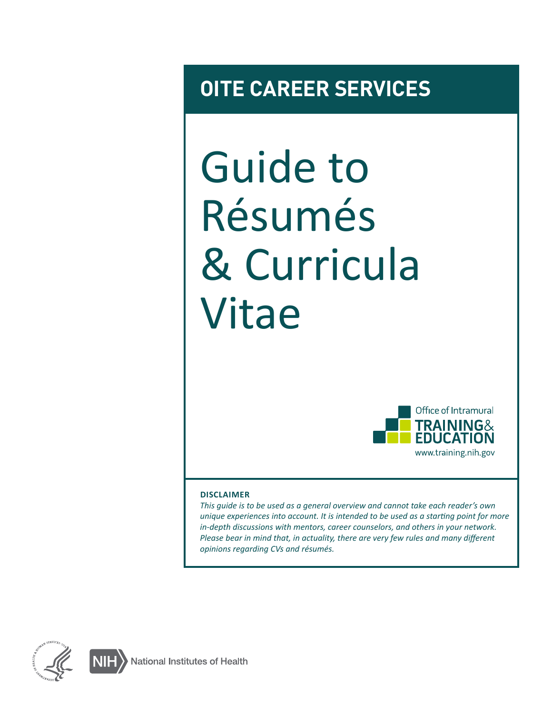# **OITE CAREER SERVICES**

# Guide to Résumés & Curricula Vitae



#### **DISCLAIMER**

*This guide is to be used as a general overview and cannot take each reader's own unique experiences into account. It is intended to be used as a starting point for more in-depth discussions with mentors, career counselors, and others in your network. Please bear in mind that, in actuality, there are very few rules and many different opinions regarding CVs and résumés.*

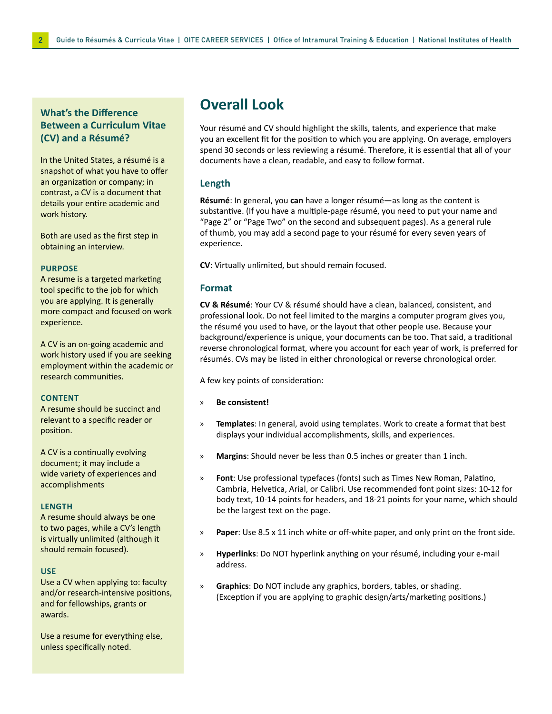#### **What's the Difference Between a Curriculum Vitae (CV) and a Résumé?**

In the United States, a résumé is a snapshot of what you have to offer an organization or company; in contrast, a CV is a document that details your entire academic and work history.

Both are used as the first step in obtaining an interview.

#### **PURPOSE**

A resume is a targeted marketing tool specific to the job for which you are applying. It is generally more compact and focused on work experience.

A CV is an on-going academic and work history used if you are seeking employment within the academic or research communities.

#### **CONTENT**

A resume should be succinct and relevant to a specific reader or position.

A CV is a continually evolving document; it may include a wide variety of experiences and accomplishments

#### **LENGTH**

A resume should always be one to two pages, while a CV's length is virtually unlimited (although it should remain focused).

#### **USE**

Use a CV when applying to: faculty and/or research-intensive positions, and for fellowships, grants or awards.

Use a resume for everything else, unless specifically noted.

### **Overall Look**

Your résumé and CV should highlight the skills, talents, and experience that make you an excellent fit for the position to which you are applying. On average, employers spend 30 seconds or less reviewing a résumé. Therefore, it is essential that all of your documents have a clean, readable, and easy to follow format.

#### **Length**

**Résumé**: In general, you **can** have a longer résumé—as long as the content is substantive. (If you have a multiple-page résumé, you need to put your name and "Page 2" or "Page Two" on the second and subsequent pages). As a general rule of thumb, you may add a second page to your résumé for every seven years of experience.

**CV**: Virtually unlimited, but should remain focused.

#### **Format**

**CV & Résumé**: Your CV & résumé should have a clean, balanced, consistent, and professional look. Do not feel limited to the margins a computer program gives you, the résumé you used to have, or the layout that other people use. Because your background/experience is unique, your documents can be too. That said, a traditional reverse chronological format, where you account for each year of work, is preferred for résumés. CVs may be listed in either chronological or reverse chronological order.

A few key points of consideration:

- » **Be consistent!**
- » **Templates**: In general, avoid using templates. Work to create a format that best displays your individual accomplishments, skills, and experiences.
- » **Margins**: Should never be less than 0.5 inches or greater than 1 inch.
- » **Font**: Use professional typefaces (fonts) such as Times New Roman, Palatino, Cambria, Helvetica, Arial, or Calibri. Use recommended font point sizes: 10-12 for body text, 10-14 points for headers, and 18-21 points for your name, which should be the largest text on the page.
- » **Paper**: Use 8.5 x 11 inch white or off-white paper, and only print on the front side.
- » **Hyperlinks**: Do NOT hyperlink anything on your résumé, including your e-mail address.
- » **Graphics**: Do NOT include any graphics, borders, tables, or shading. (Exception if you are applying to graphic design/arts/marketing positions.)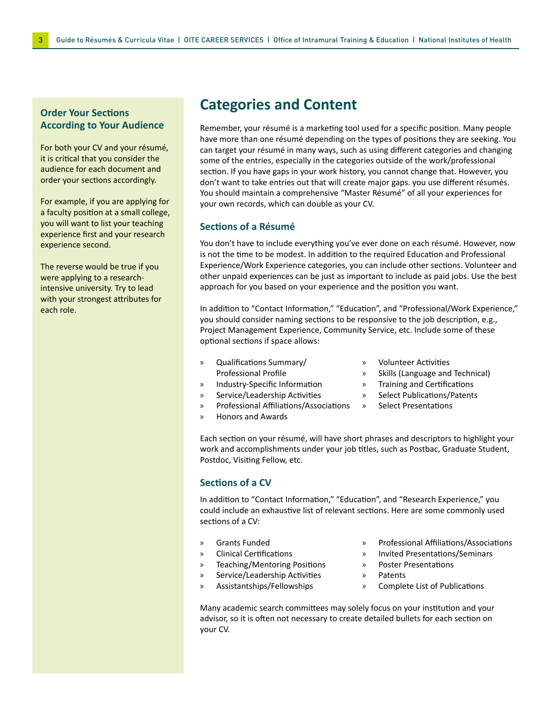#### **Order Your Sections According to Your Audience**

For both your CV and your résumé, it is critical that you consider the audience for each document and order your sections accordingly.

For example, if you are applying for a faculty position at a small college, you will want to list your teaching experience first and your research experience second.

The reverse would be true if you were applying to a researchintensive university. Try to lead with your strongest attributes for each role.

### **Categories and Content**

Remember, your résumé is a marketing tool used for a specific position. Many people have more than one résumé depending on the types of positions they are seeking. You can target your résumé in many ways, such as using different categories and changing some of the entries, especially in the categories outside of the work/professional section. If you have gaps in your work history, you cannot change that. However, you don't want to take entries out that will create major gaps. you use different résumés. You should maintain a comprehensive "Master Résumé" of all your experiences for your own records, which can double as your CV.

#### **Sections of a Résumé**

You don't have to include everything you've ever done on each résumé. However, now is not the time to be modest. In addition to the required Education and Professional Experience/Work Experience categories, you can include other sections. Volunteer and other unpaid experiences can be just as important to include as paid jobs. Use the best approach for you based on your experience and the position you want.

In addition to "Contact Information," "Education", and "Professional/Work Experience," you should consider naming sections to be responsive to the job description, e.g., Project Management Experience, Community Service, etc. Include some of these optional sections if space allows:

- » Qualifications Summary/ Professional Profile
- » Industry-Specific Information
- » Service/Leadership Activities
- » Professional Affiliations/Associations
- » Honors and Awards
- » Volunteer Activities
- » Skills (Language and Technical)
- » Training and Certifications
- » Select Publications/Patents
- » Select Presentations

Each section on your résumé, will have short phrases and descriptors to highlight your work and accomplishments under your job titles, such as Postbac, Graduate Student, Postdoc, Visiting Fellow, etc.

#### **Sections of a CV**

In addition to "Contact Information," "Education", and "Research Experience," you could include an exhaustive list of relevant sections. Here are some commonly used sections of a CV:

- » Grants Funded
- » Clinical Certifications
- » Teaching/Mentoring Positions
- » Service/Leadership Activities
- » Assistantships/Fellowships
- » Professional Affiliations/Associations
- » Invited Presentations/Seminars
- » Poster Presentations
- » Patents
- » Complete List of Publications

Many academic search committees may solely focus on your institution and your advisor, so it is often not necessary to create detailed bullets for each section on your CV.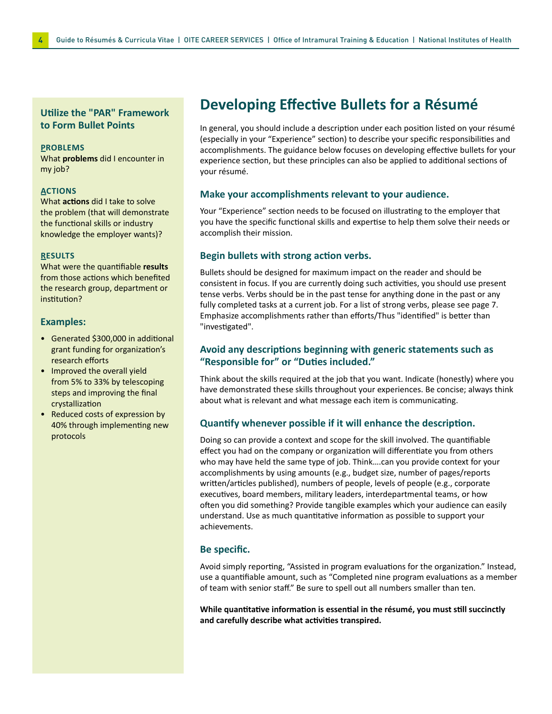#### **Utilize the "PAR" Framework to Form Bullet Points**

#### **PROBLEMS**

What **problems** did I encounter in my job?

#### **ACTIONS**

What **actions** did I take to solve the problem (that will demonstrate the functional skills or industry knowledge the employer wants)?

#### **RESULTS**

What were the quantifiable **results** from those actions which benefited the research group, department or institution?

#### **Examples:**

- Generated \$300,000 in additional grant funding for organization's research efforts
- Improved the overall yield from 5% to 33% by telescoping steps and improving the final crystallization
- Reduced costs of expression by 40% through implementing new protocols

### **Developing Effective Bullets for a Résumé**

In general, you should include a description under each position listed on your résumé (especially in your "Experience" section) to describe your specific responsibilities and accomplishments. The guidance below focuses on developing effective bullets for your experience section, but these principles can also be applied to additional sections of your résumé.

#### **Make your accomplishments relevant to your audience.**

Your "Experience" section needs to be focused on illustrating to the employer that you have the specific functional skills and expertise to help them solve their needs or accomplish their mission.

#### **Begin bullets with strong action verbs.**

Bullets should be designed for maximum impact on the reader and should be consistent in focus. If you are currently doing such activities, you should use present tense verbs. Verbs should be in the past tense for anything done in the past or any fully completed tasks at a current job. For a list of strong verbs, please see page 7. Emphasize accomplishments rather than efforts/Thus "identified" is better than "investigated".

#### **Avoid any descriptions beginning with generic statements such as "Responsible for" or "Duties included."**

Think about the skills required at the job that you want. Indicate (honestly) where you have demonstrated these skills throughout your experiences. Be concise; always think about what is relevant and what message each item is communicating.

#### **Quantify whenever possible if it will enhance the description.**

Doing so can provide a context and scope for the skill involved. The quantifiable effect you had on the company or organization will differentiate you from others who may have held the same type of job. Think….can you provide context for your accomplishments by using amounts (e.g., budget size, number of pages/reports written/articles published), numbers of people, levels of people (e.g., corporate executives, board members, military leaders, interdepartmental teams, or how often you did something? Provide tangible examples which your audience can easily understand. Use as much quantitative information as possible to support your achievements.

#### **Be specific.**

Avoid simply reporting, "Assisted in program evaluations for the organization." Instead, use a quantifiable amount, such as "Completed nine program evaluations as a member of team with senior staff." Be sure to spell out all numbers smaller than ten.

**While quantitative information is essential in the résumé, you must still succinctly and carefully describe what activities transpired.**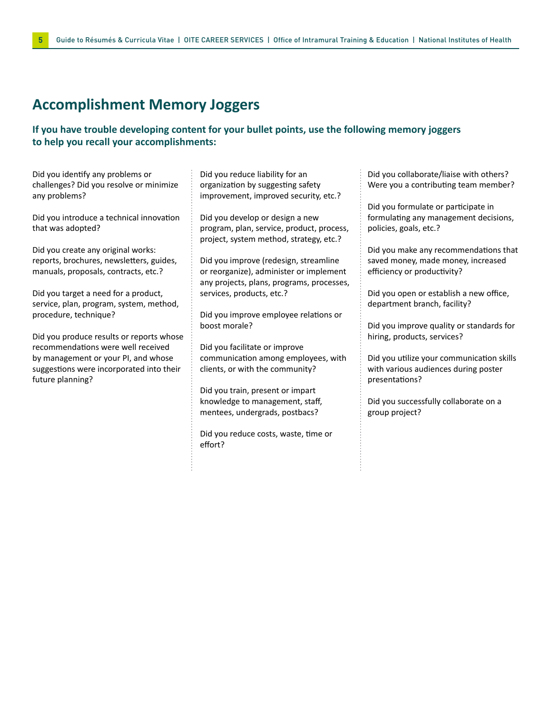### **Accomplishment Memory Joggers**

#### **If you have trouble developing content for your bullet points, use the following memory joggers to help you recall your accomplishments:**

Did you identify any problems or challenges? Did you resolve or minimize any problems?

Did you introduce a technical innovation that was adopted?

Did you create any original works: reports, brochures, newsletters, guides, manuals, proposals, contracts, etc.?

Did you target a need for a product, service, plan, program, system, method, procedure, technique?

Did you produce results or reports whose recommendations were well received by management or your PI, and whose suggestions were incorporated into their future planning?

Did you reduce liability for an organization by suggesting safety improvement, improved security, etc.?

Did you develop or design a new program, plan, service, product, process, project, system method, strategy, etc.?

Did you improve (redesign, streamline or reorganize), administer or implement any projects, plans, programs, processes, services, products, etc.?

Did you improve employee relations or boost morale?

Did you facilitate or improve communication among employees, with clients, or with the community?

Did you train, present or impart knowledge to management, staff, mentees, undergrads, postbacs?

Did you reduce costs, waste, time or effort?

Did you collaborate/liaise with others? Were you a contributing team member?

Did you formulate or participate in formulating any management decisions, policies, goals, etc.?

Did you make any recommendations that saved money, made money, increased efficiency or productivity?

Did you open or establish a new office, department branch, facility?

Did you improve quality or standards for hiring, products, services?

Did you utilize your communication skills with various audiences during poster presentations?

Did you successfully collaborate on a group project?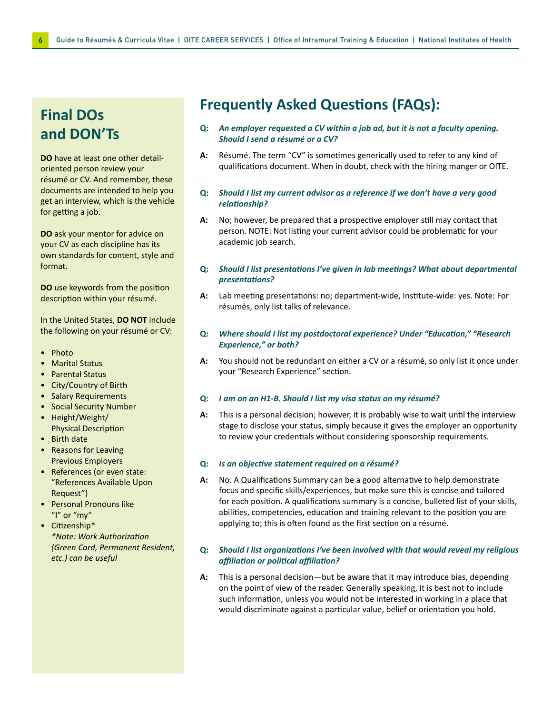### **Final DOs and DON'Ts**

**DO** have at least one other detailoriented person review your résumé or CV. And remember, these documents are intended to help you get an interview, which is the vehicle for getting a job.

**DO** ask your mentor for advice on your CV as each discipline has its own standards for content, style and format.

**DO** use keywords from the position description within your résumé.

In the United States, **DO NOT** include the following on your résumé or CV:

- Photo
- Marital Status
- Parental Status
- City/Country of Birth
- Salary Requirements
- Social Security Number
- Height/Weight/ Physical Description
- Birth date
- Reasons for Leaving Previous Employers
- References (or even state: "References Available Upon Request")
- Personal Pronouns like "I" or "my"
- Citizenship\* *\*Note: Work Authorization (Green Card, Permanent Resident, etc.) can be useful*

### **Frequently Asked Questions (FAQs):**

- **Q:** *An employer requested a CV within a job ad, but it is not a faculty opening. Should I send a résumé or a CV?*
- **A:** Résumé. The term "CV" is sometimes generically used to refer to any kind of qualifications document. When in doubt, check with the hiring manger or OITE.
- **Q:** *Should I list my current advisor as a reference if we don't have a very good relationship?*
- **A:** No; however, be prepared that a prospective employer still may contact that person. NOTE: Not listing your current advisor could be problematic for your academic job search.
- **Q:** *Should I list presentations I've given in lab meetings? What about departmental presentations?*
- **A:** Lab meeting presentations: no; department-wide, Institute-wide: yes. Note: For résumés, only list talks of relevance.

#### **Q:** *Where should I list my postdoctoral experience? Under "Education," "Research Experience," or both?*

**A:** You should not be redundant on either a CV or a résumé, so only list it once under your "Research Experience" section.

#### **Q:** *I am on an H1-B. Should I list my visa status on my résumé?*

**A:** This is a personal decision; however, it is probably wise to wait until the interview stage to disclose your status, simply because it gives the employer an opportunity to review your credentials without considering sponsorship requirements.

#### **Q:** *Is an objective statement required on a résumé?*

**A:** No. A Qualifications Summary can be a good alternative to help demonstrate focus and specific skills/experiences, but make sure this is concise and tailored for each position. A qualifications summary is a concise, bulleted list of your skills, abilities, competencies, education and training relevant to the position you are applying to; this is often found as the first section on a résumé.

#### **Q:** *Should I list organizations I've been involved with that would reveal my religious affiliation or political affiliation?*

**A:** This is a personal decision—but be aware that it may introduce bias, depending on the point of view of the reader. Generally speaking, it is best not to include such information, unless you would not be interested in working in a place that would discriminate against a particular value, belief or orientation you hold.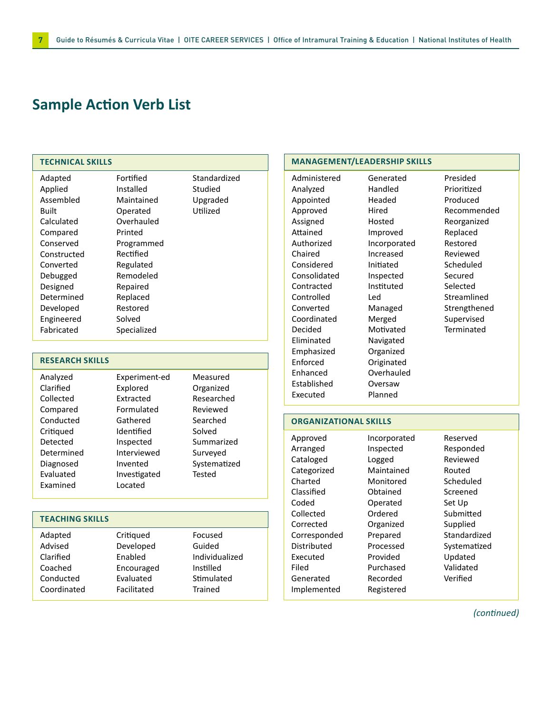### **Sample Action Verb List**

#### **TECHNICAL SKILLS**

| Adapted     | Fortified   | Standardized |
|-------------|-------------|--------------|
| Applied     | Installed   | Studied      |
| Assembled   | Maintained  | Upgraded     |
| Built       | Operated    | Utilized     |
| Calculated  | Overhauled  |              |
| Compared    | Printed     |              |
| Conserved   | Programmed  |              |
| Constructed | Rectified   |              |
| Converted   | Regulated   |              |
| Debugged    | Remodeled   |              |
| Designed    | Repaired    |              |
| Determined  | Replaced    |              |
| Developed   | Restored    |              |
| Engineered  | Solved      |              |
| Fabricated  | Specialized |              |

#### **RESEARCH SKILLS**

| Experiment-ed | Measured     |
|---------------|--------------|
| Explored      | Organized    |
| Extracted     | Researched   |
| Formulated    | Reviewed     |
| Gathered      | Searched     |
| Identified    | Solved       |
| Inspected     | Summarized   |
| Interviewed   | Surveyed     |
| Invented      | Systematized |
| Investigated  | Tested       |
| Located       |              |
|               |              |

#### **TEACHING SKILLS**

| Adapted     | Critiqued   | Focused        |
|-------------|-------------|----------------|
| Advised     | Developed   | Guided         |
| Clarified   | Enabled     | Individualized |
| Coached     | Encouraged  | Instilled      |
| Conducted   | Evaluated   | Stimulated     |
| Coordinated | Facilitated | Trained        |
|             |             |                |

#### **MANAGEMENT/LEADERSHIP SKILLS**

| Administered | Generated    |
|--------------|--------------|
| Analyzed     | Handled      |
| Appointed    | Headed       |
| Approved     | Hired        |
| Assigned     | Hosted       |
| Attained     | Improved     |
| Authorized   | Incorporated |
| Chaired      | Increased    |
| Considered   | Initiated    |
| Consolidated | Inspected    |
| Contracted   | Instituted   |
| Controlled   | Led          |
| Converted    | Managed      |
| Coordinated  | Merged       |
| Decided      | Motivated    |
| Eliminated   | Navigated    |
| Emphasized   | Organized    |
| Enforced     | Originated   |
| Enhanced     | Overhauled   |
| Established  | Oversaw      |
| Executed     | Planned      |

Presided Prioritized Produced Recommended Reorganized Replaced Restored Reviewed Scheduled Secured Selected Streamlined Strengthened Supervised **Terminated** 

#### **ORGANIZATIONAL SKILLS**

Inspected Logged

Monitored Obtained Operated Ordered Organized Prepared Processed Provided Purchased Recorded Registered

Approved Arranged Cataloged Categorized Charted Classified Coded Collected Corrected Corresponded Distributed Executed Filed Generated Implemented

Incorporated Maintained Reserved Responded Reviewed Routed Scheduled Screened Set Up Submitted Supplied Standardized Systematized Updated Verified

Validated

*(continued)*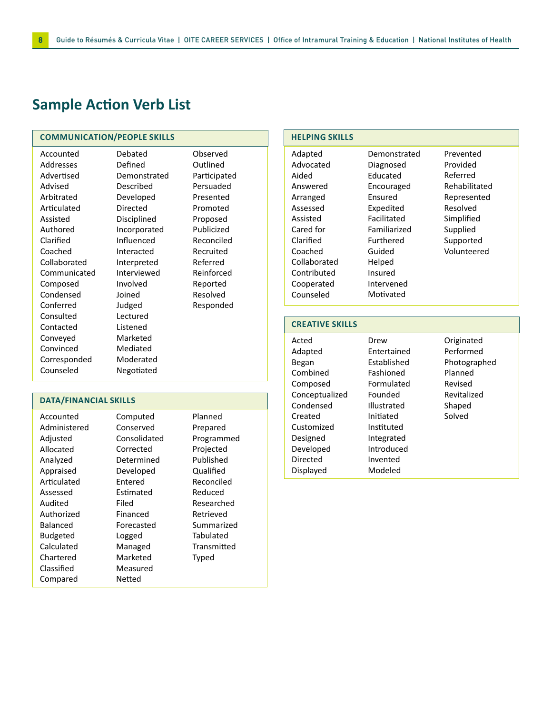### **Sample Action Verb List**

#### **COMMUNICATION/PEOPLE SKILLS**

| Accounted    | Debated      | Observed     |
|--------------|--------------|--------------|
| Addresses    | Defined      | Outlined     |
| Advertised   | Demonstrated | Participated |
| Advised      | Described    | Persuaded    |
| Arbitrated   | Developed    | Presented    |
| Articulated  | Directed     | Promoted     |
| Assisted     | Disciplined  | Proposed     |
| Authored     | Incorporated | Publicized   |
| Clarified    | Influenced   | Reconciled   |
| Coached      | Interacted   | Recruited    |
| Collaborated | Interpreted  | Referred     |
| Communicated | Interviewed  | Reinforced   |
| Composed     | Involved     | Reported     |
| Condensed    | Joined       | Resolved     |
| Conferred    | Judged       | Responded    |
| Consulted    | Lectured     |              |
| Contacted    | Listened     |              |
| Conveyed     | Marketed     |              |
| Convinced    | Mediated     |              |
| Corresponded | Moderated    |              |
| Counseled    | Negotiated   |              |

#### **DATA/FINANCIAL SKILLS**

| Accounted       | Computed     | Planned     |
|-----------------|--------------|-------------|
| Administered    | Conserved    | Prepared    |
| Adjusted        | Consolidated | Programmed  |
| Allocated       | Corrected    | Projected   |
| Analyzed        | Determined   | Published   |
| Appraised       | Developed    | Qualified   |
| Articulated     | Entered      | Reconciled  |
| Assessed        | Estimated    | Reduced     |
| Audited         | Filed        | Researched  |
| Authorized      | Financed     | Retrieved   |
| Balanced        | Forecasted   | Summarized  |
| <b>Budgeted</b> | Logged       | Tabulated   |
| Calculated      | Managed      | Transmitted |
| Chartered       | Marketed     | Typed       |
| Classified      | Measured     |             |
| Compared        | Netted       |             |

#### **HELPING SKILLS**

| Adapted      | Demonstra   |
|--------------|-------------|
| Advocated    | Diagnosed   |
| Aided        | Educated    |
| Answered     | Encourage   |
| Arranged     | Ensured     |
| Assessed     | Expedited   |
| Assisted     | Facilitated |
| Cared for    | Familiarize |
| Clarified    | Furthered   |
| Coached      | Guided      |
| Collaborated | Helped      |
| Contributed  | Insured     |
| Cooperated   | Intervened  |
| Counseled    | Motivated   |
|              |             |

emonstrated iagnosed ducated **ncouraged nsured** Expedited acilitated Familiarized urthered uided elped Insured tervened

Prevented Provided Referred Rehabilitated Represented Resolved Simplified Supplied Supported Volunteered

#### **CREATIVE SKILLS**

Acted Adapted Began Combined Composed Conceptualized Condensed Created Customized Designed Developed Directed Displayed Drew Entertained Established Fashioned Formulated Founded Illustrated Initiated Instituted Integrated Introduced Invented Modeled

Originated Performed Photographed Planned Revised Revitalized Shaped Solved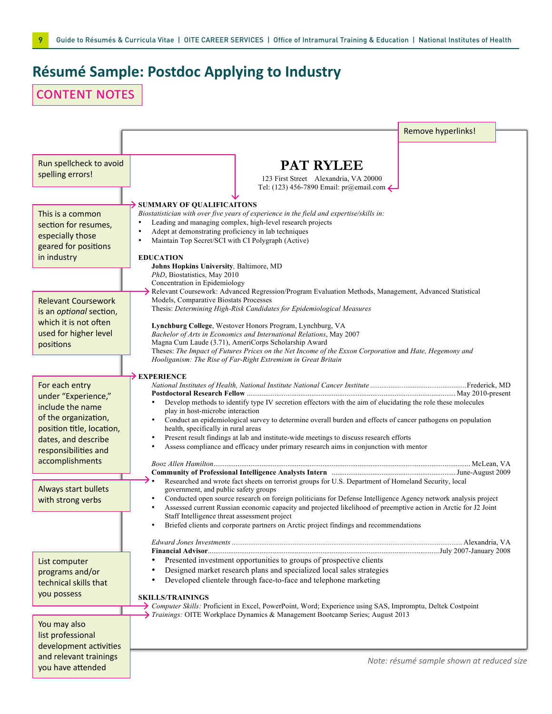# **Résumé Sample: Postdoc Applying to Industry**

# content notes

|                                                  | Remove hyperlinks!                                                                                                                                                                          |
|--------------------------------------------------|---------------------------------------------------------------------------------------------------------------------------------------------------------------------------------------------|
|                                                  |                                                                                                                                                                                             |
| Run spellcheck to avoid                          | <b>PAT RYLEE</b>                                                                                                                                                                            |
| spelling errors!                                 | 123 First Street Alexandria, VA 20000                                                                                                                                                       |
|                                                  | Tel: (123) 456-7890 Email: pr@email.com $\leftarrow$                                                                                                                                        |
| This is a common                                 | SUMMARY OF QUALIFICAITONS<br>Biostatistician with over five years of experience in the field and expertise/skills in:                                                                       |
| section for resumes,                             | Leading and managing complex, high-level research projects                                                                                                                                  |
| especially those                                 | Adept at demonstrating proficiency in lab techniques<br>Maintain Top Secret/SCI with CI Polygraph (Active)<br>$\bullet$                                                                     |
| geared for positions                             |                                                                                                                                                                                             |
| in industry                                      | <b>EDUCATION</b><br>Johns Hopkins University, Baltimore, MD                                                                                                                                 |
|                                                  | PhD, Biostatistics, May 2010<br>Concentration in Epidemiology                                                                                                                               |
|                                                  | $\rightarrow$ Relevant Coursework: Advanced Regression/Program Evaluation Methods, Management, Advanced Statistical                                                                         |
| <b>Relevant Coursework</b>                       | Models, Comparative Biostats Processes<br>Thesis: Determining High-Risk Candidates for Epidemiological Measures                                                                             |
| is an optional section,<br>which it is not often |                                                                                                                                                                                             |
| used for higher level                            | Lynchburg College, Westover Honors Program, Lynchburg, VA<br>Bachelor of Arts in Economics and International Relations, May 2007                                                            |
| positions                                        | Magna Cum Laude (3.71), AmeriCorps Scholarship Award                                                                                                                                        |
|                                                  | Theses: The Impact of Futures Prices on the Net Income of the Exxon Corporation and Hate, Hegemony and<br>Hooliganism: The Rise of Far-Right Extremism in Great Britain                     |
|                                                  |                                                                                                                                                                                             |
| For each entry                                   | $\rightarrow$ EXPERIENCE                                                                                                                                                                    |
| under "Experience,"                              |                                                                                                                                                                                             |
| include the name                                 | Develop methods to identify type IV secretion effectors with the aim of elucidating the role these molecules<br>play in host-microbe interaction                                            |
| of the organization,                             | Conduct an epidemiological survey to determine overall burden and effects of cancer pathogens on population                                                                                 |
| position title, location,<br>dates, and describe | health, specifically in rural areas<br>Present result findings at lab and institute-wide meetings to discuss research efforts                                                               |
| responsibilities and                             | Assess compliance and efficacy under primary research aims in conjunction with mentor                                                                                                       |
| accomplishments                                  |                                                                                                                                                                                             |
|                                                  |                                                                                                                                                                                             |
| Always start bullets                             | Researched and wrote fact sheets on terrorist groups for U.S. Department of Homeland Security, local<br>government, and public safety groups                                                |
| with strong verbs                                | Conducted open source research on foreign politicians for Defense Intelligence Agency network analysis project<br>$\bullet$                                                                 |
|                                                  | Assessed current Russian economic capacity and projected likelihood of preemptive action in Arctic for J2 Joint<br>Staff Intelligence threat assessment project                             |
|                                                  | Briefed clients and corporate partners on Arctic project findings and recommendations                                                                                                       |
|                                                  |                                                                                                                                                                                             |
| List computer                                    | Presented investment opportunities to groups of prospective clients                                                                                                                         |
| programs and/or                                  | Designed market research plans and specialized local sales strategies                                                                                                                       |
| technical skills that                            | Developed clientele through face-to-face and telephone marketing                                                                                                                            |
| you possess                                      | <b>SKILLS/TRAININGS</b>                                                                                                                                                                     |
|                                                  | > Computer Skills: Proficient in Excel, PowerPoint, Word; Experience using SAS, Impromptu, Deltek Costpoint<br>Trainings: OITE Workplace Dynamics & Management Bootcamp Series; August 2013 |
| You may also                                     |                                                                                                                                                                                             |
| list professional                                |                                                                                                                                                                                             |
| development activities                           |                                                                                                                                                                                             |
| and relevant trainings<br>you have attended      | Note: résumé sample shown at reduced size                                                                                                                                                   |
|                                                  |                                                                                                                                                                                             |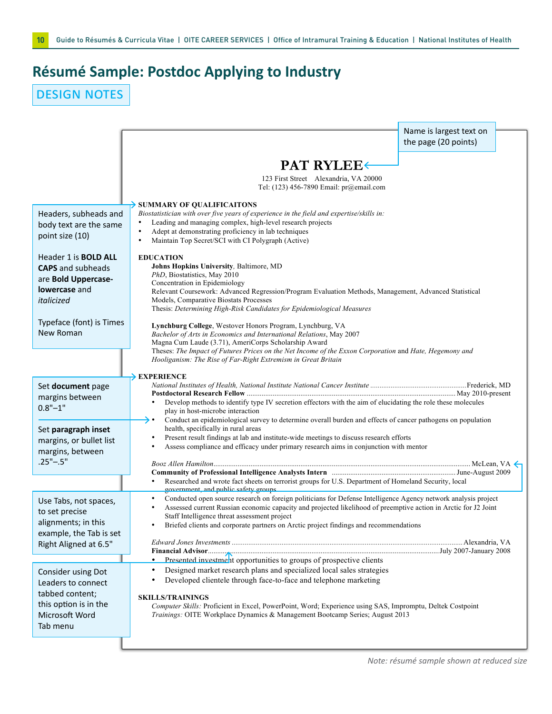# **Résumé Sample: Postdoc Applying to Industry**

design notes

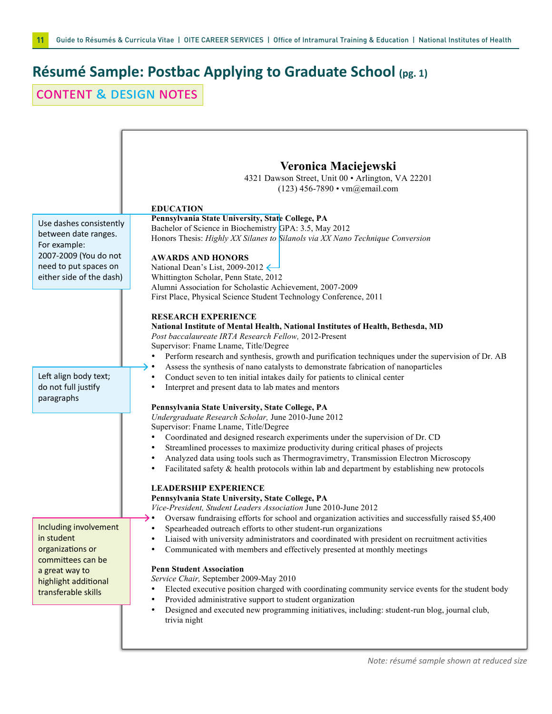# **Résumé Sample: Postbac Applying to Graduate School (pg. 1)**

content & design notes

| Use dashes consistently<br>between date ranges.<br>For example:<br>2007-2009 (You do not<br>need to put spaces on | Veronica Maciejewski<br>4321 Dawson Street, Unit 00 · Arlington, VA 22201<br>(123) 456-7890 • vm@email.com<br><b>EDUCATION</b><br>Pennsylvania State University, State College, PA<br>Bachelor of Science in Biochemistry GPA: 3.5, May 2012<br>Honors Thesis: Highly XX Silanes to Silanols via XX Nano Technique Conversion<br><b>AWARDS AND HONORS</b><br>National Dean's List, 2009-2012                                                                                                                                                                          |
|-------------------------------------------------------------------------------------------------------------------|-----------------------------------------------------------------------------------------------------------------------------------------------------------------------------------------------------------------------------------------------------------------------------------------------------------------------------------------------------------------------------------------------------------------------------------------------------------------------------------------------------------------------------------------------------------------------|
| either side of the dash)                                                                                          | Whittington Scholar, Penn State, 2012                                                                                                                                                                                                                                                                                                                                                                                                                                                                                                                                 |
|                                                                                                                   | Alumni Association for Scholastic Achievement, 2007-2009                                                                                                                                                                                                                                                                                                                                                                                                                                                                                                              |
|                                                                                                                   | First Place, Physical Science Student Technology Conference, 2011                                                                                                                                                                                                                                                                                                                                                                                                                                                                                                     |
| Left align body text;<br>do not full justify<br>paragraphs                                                        | <b>RESEARCH EXPERIENCE</b><br>National Institute of Mental Health, National Institutes of Health, Bethesda, MD<br>Post baccalaureate IRTA Research Fellow, 2012-Present<br>Supervisor: Fname Lname, Title/Degree<br>Perform research and synthesis, growth and purification techniques under the supervision of Dr. AB<br>Assess the synthesis of nano catalysts to demonstrate fabrication of nanoparticles<br>→ •<br>Conduct seven to ten initial intakes daily for patients to clinical center<br>Interpret and present data to lab mates and mentors<br>$\bullet$ |
|                                                                                                                   | Pennsylvania State University, State College, PA                                                                                                                                                                                                                                                                                                                                                                                                                                                                                                                      |
|                                                                                                                   | Undergraduate Research Scholar, June 2010-June 2012                                                                                                                                                                                                                                                                                                                                                                                                                                                                                                                   |
|                                                                                                                   |                                                                                                                                                                                                                                                                                                                                                                                                                                                                                                                                                                       |
|                                                                                                                   | Supervisor: Fname Lname, Title/Degree                                                                                                                                                                                                                                                                                                                                                                                                                                                                                                                                 |
|                                                                                                                   | Coordinated and designed research experiments under the supervision of Dr. CD                                                                                                                                                                                                                                                                                                                                                                                                                                                                                         |
|                                                                                                                   | Streamlined processes to maximize productivity during critical phases of projects<br>$\bullet$                                                                                                                                                                                                                                                                                                                                                                                                                                                                        |
|                                                                                                                   | Analyzed data using tools such as Thermogravimetry, Transmission Electron Microscopy<br>٠                                                                                                                                                                                                                                                                                                                                                                                                                                                                             |
|                                                                                                                   | Facilitated safety $\&$ health protocols within lab and department by establishing new protocols<br>٠                                                                                                                                                                                                                                                                                                                                                                                                                                                                 |
|                                                                                                                   |                                                                                                                                                                                                                                                                                                                                                                                                                                                                                                                                                                       |
|                                                                                                                   | <b>LEADERSHIP EXPERIENCE</b>                                                                                                                                                                                                                                                                                                                                                                                                                                                                                                                                          |
|                                                                                                                   | Pennsylvania State University, State College, PA                                                                                                                                                                                                                                                                                                                                                                                                                                                                                                                      |
|                                                                                                                   | Vice-President, Student Leaders Association June 2010-June 2012                                                                                                                                                                                                                                                                                                                                                                                                                                                                                                       |
|                                                                                                                   | Oversaw fundraising efforts for school and organization activities and successfully raised \$5,400                                                                                                                                                                                                                                                                                                                                                                                                                                                                    |
| Including involvement                                                                                             | Spearheaded outreach efforts to other student-run organizations                                                                                                                                                                                                                                                                                                                                                                                                                                                                                                       |
| in student                                                                                                        | Liaised with university administrators and coordinated with president on recruitment activities<br>٠                                                                                                                                                                                                                                                                                                                                                                                                                                                                  |
| organizations or                                                                                                  | Communicated with members and effectively presented at monthly meetings<br>٠                                                                                                                                                                                                                                                                                                                                                                                                                                                                                          |
| committees can be                                                                                                 |                                                                                                                                                                                                                                                                                                                                                                                                                                                                                                                                                                       |
| a great way to                                                                                                    | <b>Penn Student Association</b>                                                                                                                                                                                                                                                                                                                                                                                                                                                                                                                                       |
| highlight additional                                                                                              | Service Chair, September 2009-May 2010                                                                                                                                                                                                                                                                                                                                                                                                                                                                                                                                |
| transferable skills                                                                                               | Elected executive position charged with coordinating community service events for the student body                                                                                                                                                                                                                                                                                                                                                                                                                                                                    |
|                                                                                                                   | Provided administrative support to student organization<br>٠                                                                                                                                                                                                                                                                                                                                                                                                                                                                                                          |
|                                                                                                                   | Designed and executed new programming initiatives, including: student-run blog, journal club,<br>٠                                                                                                                                                                                                                                                                                                                                                                                                                                                                    |
|                                                                                                                   | trivia night                                                                                                                                                                                                                                                                                                                                                                                                                                                                                                                                                          |
|                                                                                                                   |                                                                                                                                                                                                                                                                                                                                                                                                                                                                                                                                                                       |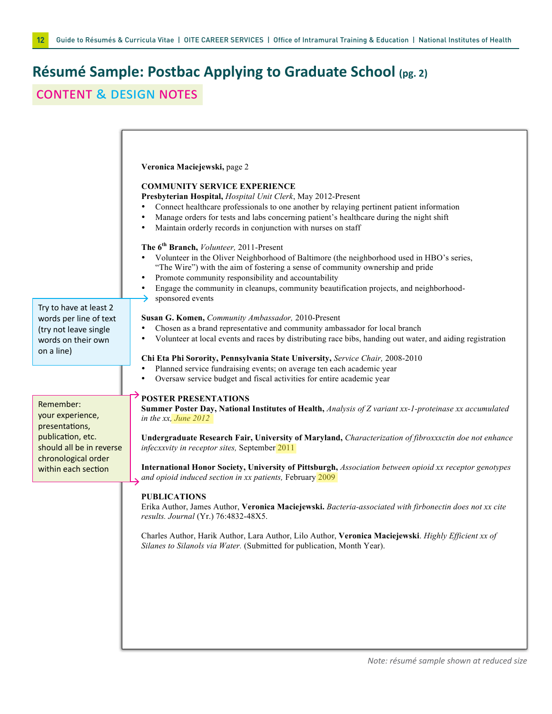# **Résumé Sample: Postbac Applying to Graduate School (pg. 2)**

### content & design notes

| Try to have at least 2<br>words per line of text<br>(try not leave single<br>words on their own<br>on a line)                                  | Veronica Maciejewski, page 2<br><b>COMMUNITY SERVICE EXPERIENCE</b><br>Presbyterian Hospital, Hospital Unit Clerk, May 2012-Present<br>Connect healthcare professionals to one another by relaying pertinent patient information<br>Manage orders for tests and labs concerning patient's healthcare during the night shift<br>Maintain orderly records in conjunction with nurses on staff<br>The 6 <sup>th</sup> Branch, <i>Volunteer</i> , 2011-Present<br>Volunteer in the Oliver Neighborhood of Baltimore (the neighborhood used in HBO's series,<br>"The Wire") with the aim of fostering a sense of community ownership and pride<br>Promote community responsibility and accountability<br>Engage the community in cleanups, community beautification projects, and neighborhood-<br>sponsored events<br>Susan G. Komen, Community Ambassador, 2010-Present<br>Chosen as a brand representative and community ambassador for local branch<br>Volunteer at local events and races by distributing race bibs, handing out water, and aiding registration<br>Chi Eta Phi Sorority, Pennsylvania State University, Service Chair, 2008-2010<br>Planned service fundraising events; on average ten each academic year<br>Oversaw service budget and fiscal activities for entire academic year |
|------------------------------------------------------------------------------------------------------------------------------------------------|----------------------------------------------------------------------------------------------------------------------------------------------------------------------------------------------------------------------------------------------------------------------------------------------------------------------------------------------------------------------------------------------------------------------------------------------------------------------------------------------------------------------------------------------------------------------------------------------------------------------------------------------------------------------------------------------------------------------------------------------------------------------------------------------------------------------------------------------------------------------------------------------------------------------------------------------------------------------------------------------------------------------------------------------------------------------------------------------------------------------------------------------------------------------------------------------------------------------------------------------------------------------------------------------------|
| Remember:<br>your experience,<br>presentations,<br>publication, etc.<br>should all be in reverse<br>chronological order<br>within each section | <b>POSTER PRESENTATIONS</b><br>Summer Poster Day, National Institutes of Health, Analysis of Z variant xx-1-proteinase xx accumulated<br>in the $xx$ , June $2012$<br>Undergraduate Research Fair, University of Maryland, Characterization of fibroxxxctin doe not enhance<br>infecxxvity in receptor sites, September 2011<br>International Honor Society, University of Pittsburgh, Association between opioid xx receptor genotypes<br>and opioid induced section in xx patients, February 2009<br><b>PUBLICATIONS</b><br>Erika Author, James Author, Veronica Maciejewski. Bacteria-associated with firbonectin does not xx cite<br>results. Journal (Yr.) 76:4832-48X5.<br>Charles Author, Harik Author, Lara Author, Lilo Author, Veronica Maciejewski. Highly Efficient xx of<br>Silanes to Silanols via Water. (Submitted for publication, Month Year).                                                                                                                                                                                                                                                                                                                                                                                                                                   |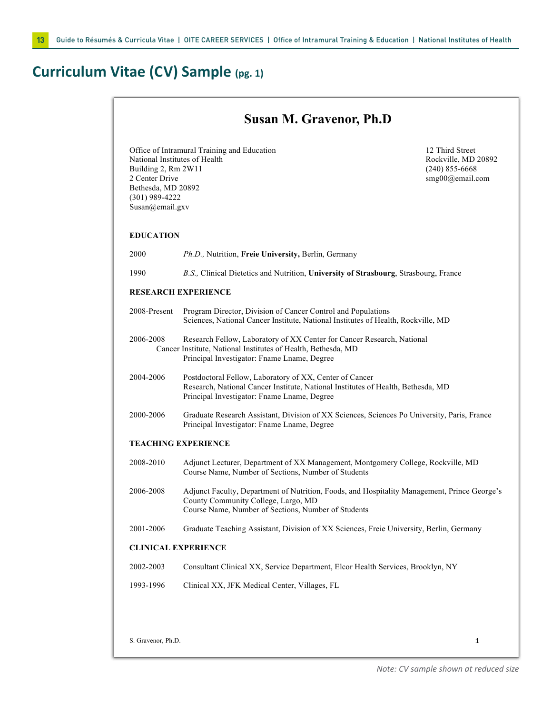# **Curriculum Vitae (CV) Sample (pg. 1)**

|                                                                                                                                                                                    | <b>Susan M. Gravenor, Ph.D</b>                                                                                                                                                             |                                                                               |
|------------------------------------------------------------------------------------------------------------------------------------------------------------------------------------|--------------------------------------------------------------------------------------------------------------------------------------------------------------------------------------------|-------------------------------------------------------------------------------|
| Office of Intramural Training and Education<br>National Institutes of Health<br>Building 2, Rm 2W11<br>2 Center Drive<br>Bethesda, MD 20892<br>$(301)$ 989-4222<br>Susan@email.gxv |                                                                                                                                                                                            | 12 Third Street<br>Rockville, MD 20892<br>$(240)$ 855-6668<br>smg00@email.com |
| <b>EDUCATION</b>                                                                                                                                                                   |                                                                                                                                                                                            |                                                                               |
| 2000                                                                                                                                                                               | Ph.D., Nutrition, Freie University, Berlin, Germany                                                                                                                                        |                                                                               |
| 1990                                                                                                                                                                               | B.S., Clinical Dietetics and Nutrition, University of Strasbourg, Strasbourg, France                                                                                                       |                                                                               |
|                                                                                                                                                                                    | <b>RESEARCH EXPERIENCE</b>                                                                                                                                                                 |                                                                               |
| 2008-Present                                                                                                                                                                       | Program Director, Division of Cancer Control and Populations<br>Sciences, National Cancer Institute, National Institutes of Health, Rockville, MD                                          |                                                                               |
| 2006-2008                                                                                                                                                                          | Research Fellow, Laboratory of XX Center for Cancer Research, National<br>Cancer Institute, National Institutes of Health, Bethesda, MD<br>Principal Investigator: Fname Lname, Degree     |                                                                               |
| 2004-2006                                                                                                                                                                          | Postdoctoral Fellow, Laboratory of XX, Center of Cancer<br>Research, National Cancer Institute, National Institutes of Health, Bethesda, MD<br>Principal Investigator: Fname Lname, Degree |                                                                               |
| 2000-2006                                                                                                                                                                          | Graduate Research Assistant, Division of XX Sciences, Sciences Po University, Paris, France<br>Principal Investigator: Fname Lname, Degree                                                 |                                                                               |
|                                                                                                                                                                                    | <b>TEACHING EXPERIENCE</b>                                                                                                                                                                 |                                                                               |
| 2008-2010                                                                                                                                                                          | Adjunct Lecturer, Department of XX Management, Montgomery College, Rockville, MD<br>Course Name, Number of Sections, Number of Students                                                    |                                                                               |
| 2006-2008                                                                                                                                                                          | Adjunct Faculty, Department of Nutrition, Foods, and Hospitality Management, Prince George's<br>County Community College, Largo, MD<br>Course Name, Number of Sections, Number of Students |                                                                               |
| 2001-2006                                                                                                                                                                          | Graduate Teaching Assistant, Division of XX Sciences, Freie University, Berlin, Germany                                                                                                    |                                                                               |
|                                                                                                                                                                                    | <b>CLINICAL EXPERIENCE</b>                                                                                                                                                                 |                                                                               |
| 2002-2003                                                                                                                                                                          | Consultant Clinical XX, Service Department, Elcor Health Services, Brooklyn, NY                                                                                                            |                                                                               |
| 1993-1996                                                                                                                                                                          | Clinical XX, JFK Medical Center, Villages, FL                                                                                                                                              |                                                                               |
|                                                                                                                                                                                    |                                                                                                                                                                                            |                                                                               |
|                                                                                                                                                                                    |                                                                                                                                                                                            |                                                                               |
| S. Gravenor, Ph.D.                                                                                                                                                                 |                                                                                                                                                                                            | 1                                                                             |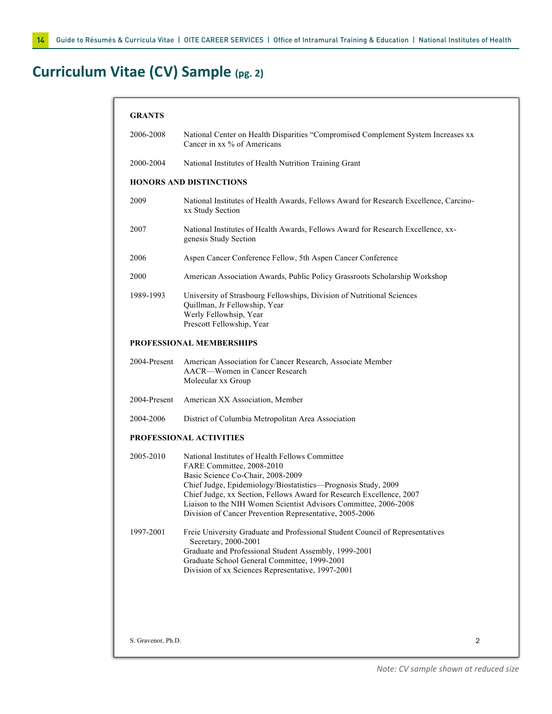# **Curriculum Vitae (CV) Sample (pg. 2)**

| <b>GRANTS</b>      |                                                                                                                                                                                                                                                                                                                                                                                           |   |
|--------------------|-------------------------------------------------------------------------------------------------------------------------------------------------------------------------------------------------------------------------------------------------------------------------------------------------------------------------------------------------------------------------------------------|---|
| 2006-2008          | National Center on Health Disparities "Compromised Complement System Increases xx<br>Cancer in xx % of Americans                                                                                                                                                                                                                                                                          |   |
| 2000-2004          | National Institutes of Health Nutrition Training Grant                                                                                                                                                                                                                                                                                                                                    |   |
|                    | <b>HONORS AND DISTINCTIONS</b>                                                                                                                                                                                                                                                                                                                                                            |   |
| 2009               | National Institutes of Health Awards, Fellows Award for Research Excellence, Carcino-<br>xx Study Section                                                                                                                                                                                                                                                                                 |   |
| 2007               | National Institutes of Health Awards, Fellows Award for Research Excellence, xx-<br>genesis Study Section                                                                                                                                                                                                                                                                                 |   |
| 2006               | Aspen Cancer Conference Fellow, 5th Aspen Cancer Conference                                                                                                                                                                                                                                                                                                                               |   |
| 2000               | American Association Awards, Public Policy Grassroots Scholarship Workshop                                                                                                                                                                                                                                                                                                                |   |
| 1989-1993          | University of Strasbourg Fellowships, Division of Nutritional Sciences<br>Quillman, Jr Fellowship, Year<br>Werly Fellowhsip, Year<br>Prescott Fellowship, Year                                                                                                                                                                                                                            |   |
|                    | <b>PROFESSIONAL MEMBERSHIPS</b>                                                                                                                                                                                                                                                                                                                                                           |   |
| 2004-Present       | American Association for Cancer Research, Associate Member<br>AACR—Women in Cancer Research<br>Molecular xx Group                                                                                                                                                                                                                                                                         |   |
| 2004-Present       | American XX Association, Member                                                                                                                                                                                                                                                                                                                                                           |   |
| 2004-2006          | District of Columbia Metropolitan Area Association                                                                                                                                                                                                                                                                                                                                        |   |
|                    | PROFESSIONAL ACTIVITIES                                                                                                                                                                                                                                                                                                                                                                   |   |
| 2005-2010          | National Institutes of Health Fellows Committee<br>FARE Committee, 2008-2010<br>Basic Science Co-Chair, 2008-2009<br>Chief Judge, Epidemiology/Biostatistics-Prognosis Study, 2009<br>Chief Judge, xx Section, Fellows Award for Research Excellence, 2007<br>Liaison to the NIH Women Scientist Advisors Committee, 2006-2008<br>Division of Cancer Prevention Representative, 2005-2006 |   |
| 1997-2001          | Freie University Graduate and Professional Student Council of Representatives<br>Secretary, 2000-2001<br>Graduate and Professional Student Assembly, 1999-2001<br>Graduate School General Committee, 1999-2001<br>Division of xx Sciences Representative, 1997-2001                                                                                                                       |   |
| S. Gravenor, Ph.D. |                                                                                                                                                                                                                                                                                                                                                                                           | 2 |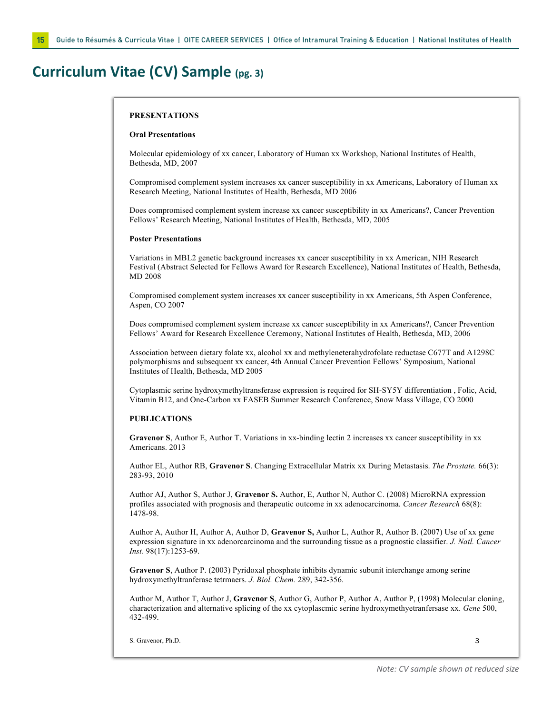## **Curriculum Vitae (CV) Sample (pg. 3)**

#### **PRESENTATIONS**

#### **Oral Presentations**

Molecular epidemiology of xx cancer, Laboratory of Human xx Workshop, National Institutes of Health, Bethesda, MD, 2007

Compromised complement system increases xx cancer susceptibility in xx Americans, Laboratory of Human xx Research Meeting, National Institutes of Health, Bethesda, MD 2006

Does compromised complement system increase xx cancer susceptibility in xx Americans?, Cancer Prevention Fellows' Research Meeting, National Institutes of Health, Bethesda, MD, 2005

#### **Poster Presentations**

Variations in MBL2 genetic background increases xx cancer susceptibility in xx American, NIH Research Festival (Abstract Selected for Fellows Award for Research Excellence), National Institutes of Health, Bethesda, MD 2008

Compromised complement system increases xx cancer susceptibility in xx Americans, 5th Aspen Conference, Aspen, CO 2007

Does compromised complement system increase xx cancer susceptibility in xx Americans?, Cancer Prevention Fellows' Award for Research Excellence Ceremony, National Institutes of Health, Bethesda, MD, 2006

Association between dietary folate xx, alcohol xx and methyleneterahydrofolate reductase C677T and A1298C polymorphisms and subsequent xx cancer, 4th Annual Cancer Prevention Fellows' Symposium, National Institutes of Health, Bethesda, MD 2005

Cytoplasmic serine hydroxymethyltransferase expression is required for SH-SY5Y differentiation , Folic, Acid, Vitamin B12, and One-Carbon xx FASEB Summer Research Conference, Snow Mass Village, CO 2000

#### **PUBLICATIONS**

**Gravenor S**, Author E, Author T. Variations in xx-binding lectin 2 increases xx cancer susceptibility in xx Americans. 2013

Author EL, Author RB, **Gravenor S**. Changing Extracellular Matrix xx During Metastasis. *The Prostate.* 66(3): 283-93, 2010

Author AJ, Author S, Author J, **Gravenor S.** Author, E, Author N, Author C. (2008) MicroRNA expression profiles associated with prognosis and therapeutic outcome in xx adenocarcinoma. *Cancer Research* 68(8): 1478-98.

Author A, Author H, Author A, Author D, **Gravenor S,** Author L, Author R, Author B. (2007) Use of xx gene expression signature in xx adenorcarcinoma and the surrounding tissue as a prognostic classifier. *J. Natl. Cancer Inst*. 98(17):1253-69.

**Gravenor S**, Author P. (2003) Pyridoxal phosphate inhibits dynamic subunit interchange among serine hydroxymethyltranferase tetrmaers. *J. Biol. Chem.* 289, 342-356.

Author M, Author T, Author J, **Gravenor S**, Author G, Author P, Author A, Author P, (1998) Molecular cloning, characterization and alternative splicing of the xx cytoplascmic serine hydroxymethyetranfersase xx. *Gene* 500, 432-499.

S. Gravenor, Ph.D. 3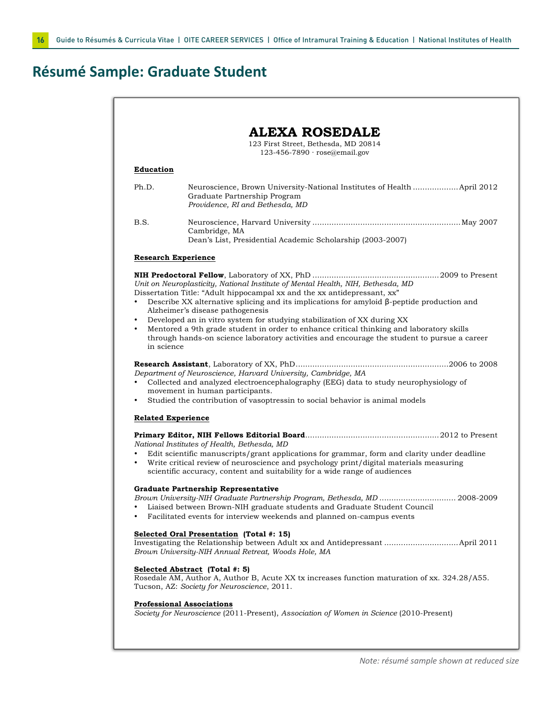# **Résumé Sample: Graduate Student**

| 123 First Street, Bethesda, MD 20814<br>123-456-7890 · rose@email.gov |                                                                                                                                                                                                                                                                                                                                                                                                                                                                                                                                                                            |  |
|-----------------------------------------------------------------------|----------------------------------------------------------------------------------------------------------------------------------------------------------------------------------------------------------------------------------------------------------------------------------------------------------------------------------------------------------------------------------------------------------------------------------------------------------------------------------------------------------------------------------------------------------------------------|--|
| <b>Education</b>                                                      |                                                                                                                                                                                                                                                                                                                                                                                                                                                                                                                                                                            |  |
| Ph.D.                                                                 | Neuroscience, Brown University-National Institutes of Health  April 2012<br>Graduate Partnership Program<br>Providence, RI and Bethesda, MD                                                                                                                                                                                                                                                                                                                                                                                                                                |  |
| B.S.                                                                  | Cambridge, MA<br>Dean's List, Presidential Academic Scholarship (2003-2007)                                                                                                                                                                                                                                                                                                                                                                                                                                                                                                |  |
|                                                                       | <b>Research Experience</b>                                                                                                                                                                                                                                                                                                                                                                                                                                                                                                                                                 |  |
| $\bullet$<br>in science                                               | Unit on Neuroplasticity, National Institute of Mental Health, NIH, Bethesda, MD<br>Dissertation Title: "Adult hippocampal xx and the xx antidepressant, xx"<br>Describe XX alternative splicing and its implications for amyloid $\beta$ -peptide production and<br>Alzheimer's disease pathogenesis<br>Developed an in vitro system for studying stabilization of XX during XX<br>Mentored a 9th grade student in order to enhance critical thinking and laboratory skills<br>through hands-on science laboratory activities and encourage the student to pursue a career |  |
|                                                                       |                                                                                                                                                                                                                                                                                                                                                                                                                                                                                                                                                                            |  |
|                                                                       | Department of Neuroscience, Harvard University, Cambridge, MA<br>Collected and analyzed electroencephalography (EEG) data to study neurophysiology of<br>movement in human participants.<br>Studied the contribution of vasoptressin to social behavior is animal models                                                                                                                                                                                                                                                                                                   |  |
| $\bullet$<br>$\bullet$                                                | <b>Related Experience</b>                                                                                                                                                                                                                                                                                                                                                                                                                                                                                                                                                  |  |
| ٠<br>$\bullet$                                                        | National Institutes of Health, Bethesda, MD<br>Edit scientific manuscripts/grant applications for grammar, form and clarity under deadline<br>Write critical review of neuroscience and psychology print/digital materials measuring<br>scientific accuracy, content and suitability for a wide range of audiences                                                                                                                                                                                                                                                         |  |
| ٠                                                                     | Graduate Partnership Representative<br>Brown University-NIH Graduate Partnership Program, Bethesda, MD  2008-2009<br>Liaised between Brown-NIH graduate students and Graduate Student Council<br>Facilitated events for interview weekends and planned on-campus events                                                                                                                                                                                                                                                                                                    |  |
|                                                                       | Selected Oral Presentation (Total #: 15)<br>Investigating the Relationship between Adult xx and Antidepressant  April 2011<br>Brown University-NIH Annual Retreat, Woods Hole, MA                                                                                                                                                                                                                                                                                                                                                                                          |  |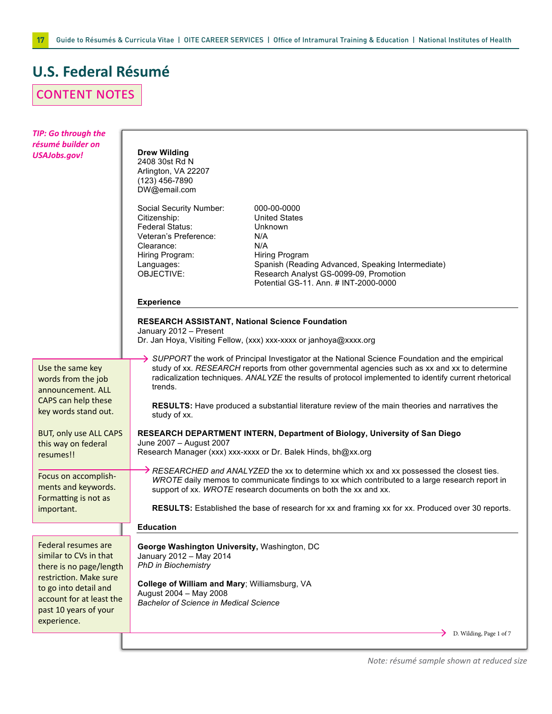# **U.S. Federal Résumé**

# content notes

| <b>TIP: Go through the</b><br>résumé builder on<br><b>USAJobs.gov!</b>                             | <b>Drew Wilding</b><br>2408 30st Rd N<br>Arlington, VA 22207<br>$(123)$ 456-7890<br>DW@email.com                                                                                                                                                                                                                                                                           |  |  |
|----------------------------------------------------------------------------------------------------|----------------------------------------------------------------------------------------------------------------------------------------------------------------------------------------------------------------------------------------------------------------------------------------------------------------------------------------------------------------------------|--|--|
|                                                                                                    | Social Security Number:<br>000-00-0000<br>Citizenship:<br><b>United States</b><br>Federal Status:<br>Unknown<br>Veteran's Preference:<br>N/A<br>Clearance:<br>N/A<br>Hiring Program:<br>Hiring Program<br>Languages:<br>Spanish (Reading Advanced, Speaking Intermediate)<br>OBJECTIVE:<br>Research Analyst GS-0099-09, Promotion<br>Potential GS-11. Ann. # INT-2000-0000 |  |  |
|                                                                                                    | <b>Experience</b>                                                                                                                                                                                                                                                                                                                                                          |  |  |
|                                                                                                    | RESEARCH ASSISTANT, National Science Foundation<br>January 2012 - Present<br>Dr. Jan Hoya, Visiting Fellow, (xxx) xxx-xxxx or janhoya@xxxx.org                                                                                                                                                                                                                             |  |  |
| Use the same key<br>words from the job<br>announcement. ALL                                        | $\rightarrow$ SUPPORT the work of Principal Investigator at the National Science Foundation and the empirical<br>study of xx. RESEARCH reports from other governmental agencies such as xx and xx to determine<br>radicalization techniques. ANALYZE the results of protocol implemented to identify current rhetorical<br>trends.                                         |  |  |
| CAPS can help these<br>key words stand out.                                                        | RESULTS: Have produced a substantial literature review of the main theories and narratives the<br>study of xx.                                                                                                                                                                                                                                                             |  |  |
| <b>BUT, only use ALL CAPS</b>                                                                      | RESEARCH DEPARTMENT INTERN, Department of Biology, University of San Diego                                                                                                                                                                                                                                                                                                 |  |  |
| this way on federal<br>resumes!!                                                                   | June 2007 - August 2007<br>Research Manager (xxx) xxx-xxxx or Dr. Balek Hinds, bh@xx.org                                                                                                                                                                                                                                                                                   |  |  |
| Focus on accomplish-<br>ments and keywords.<br>Formatting is not as                                | $\rightarrow$ RESEARCHED and ANALYZED the xx to determine which xx and xx possessed the closest ties.<br>WROTE daily memos to communicate findings to xx which contributed to a large research report in<br>support of xx. WROTE research documents on both the xx and xx.                                                                                                 |  |  |
| important.                                                                                         | RESULTS: Established the base of research for xx and framing xx for xx. Produced over 30 reports.                                                                                                                                                                                                                                                                          |  |  |
|                                                                                                    | <b>Education</b>                                                                                                                                                                                                                                                                                                                                                           |  |  |
| Federal resumes are<br>similar to CVs in that<br>there is no page/length<br>restriction. Make sure | George Washington University, Washington, DC<br>January 2012 - May 2014<br><b>PhD in Biochemistry</b><br>College of William and Mary; Williamsburg, VA                                                                                                                                                                                                                     |  |  |
| to go into detail and<br>account for at least the<br>past 10 years of your<br>experience.          | August 2004 - May 2008<br><b>Bachelor of Science in Medical Science</b>                                                                                                                                                                                                                                                                                                    |  |  |
|                                                                                                    | D. Wilding, Page 1 of 7                                                                                                                                                                                                                                                                                                                                                    |  |  |